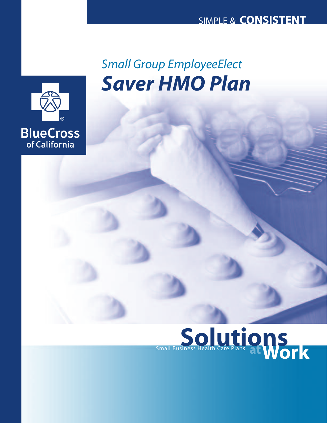

# *Saver HMO Plan Small Group EmployeeElect*

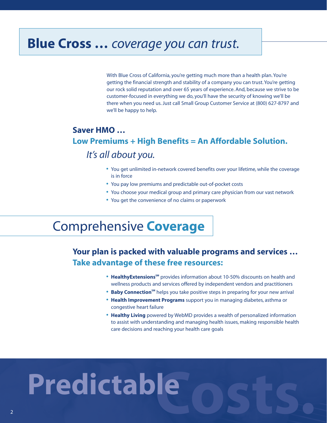### **Blue Cross …** *coverage you can trust.*

With Blue Cross of California, you're getting much more than a health plan. You're getting the financial strength and stability of a company you can trust. You're getting our rock solid reputation and over 65 years of experience. And, because we strive to be customer-focused in everything we do, you'll have the security of knowing we'll be there when you need us. Just call Small Group Customer Service at (800) 627-8797 and we'll be happy to help.

#### **Saver HMO … Low Premiums + High Benefits = An Affordable Solution.** *It's all about you.*

- **•** You get unlimited in-network covered benefits over your lifetime, while the coverage is in force
- **•** You pay low premiums and predictable out-of-pocket costs
- **•** You choose your medical group and primary care physician from our vast network
- **•** You get the convenience of no claims or paperwork

## Comprehensive **Coverage**

#### **Your plan is packed with valuable programs and services … Take advantage of these free resources:**

- **HealthyExtensions**<sup>SM</sup> provides information about 10-50% discounts on health and wellness products and services offered by independent vendors and practitioners
- **Baby Connection<sup>sM</sup>** helps you take positive steps in preparing for your new arrival
- **• Health Improvement Programs** support you in managing diabetes, asthma or congestive heart failure
- **• Healthy Living** powered by WebMD provides a wealth of personalized information to assist with understanding and managing health issues, making responsible health care decisions and reaching your health care goals

# **Costs. Predictable**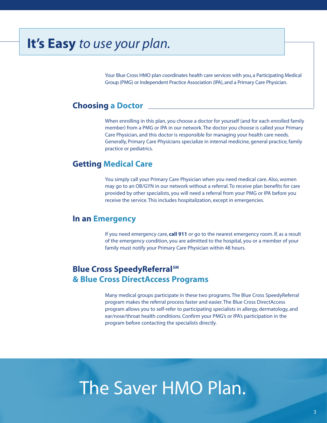# **It's Easy** *to use your plan.*

Your Blue Cross HMO plan coordinates health care services with you, a Participating Medical Group (PMG) or Independent Practice Association (IPA), and a Primary Care Physician.

#### **Choosing a Doctor**

When enrolling in this plan, you choose a doctor for yourself (and for each enrolled family member) from a PMG or IPA in our network. The doctor you choose is called your Primary Care Physician, and this doctor is responsible for managing your health care needs. Generally, Primary Care Physicians specialize in internal medicine, general practice, family practice or pediatrics.

#### **Getting Medical Care**

You simply call your Primary Care Physician when you need medical care. Also, women may go to an OB/GYN in our network without a referral. To receive plan benefits for care provided by other specialists, you will need a referral from your PMG or IPA before you receive the service. This includes hospitalization, except in emergencies.

#### **In an Emergency**

If you need emergency care, **call 911** or go to the nearest emergency room. If, as a result of the emergency condition, you are admitted to the hospital, you or a member of your family must notify your Primary Care Physician within 48 hours.

#### **Blue Cross SpeedyReferral**SM **& Blue Cross DirectAccess Programs**

Many medical groups participate in these two programs. The Blue Cross SpeedyReferral program makes the referral process faster and easier. The Blue Cross DirectAccess program allows you to self-refer to participating specialists in allergy, dermatology, and ear/nose/throat health conditions. Confirm your PMG's or IPA's participation in the program before contacting the specialists directly.

# **s.** The Saver HMO Plan.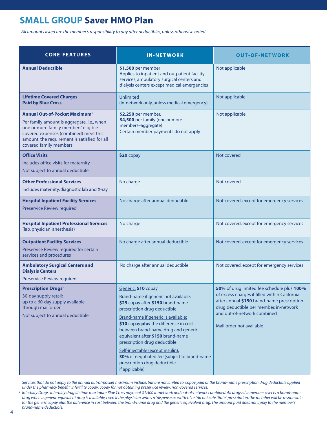#### **SMALL GROUP Saver HMO Plan**

*All amounts listed are the member's responsibility to pay after deductibles, unless otherwise noted.*

| <b>CORE FEATURES</b>                                                                                                                                                                                                                                      | <b>IN-NETWORK</b>                                                                                                                                                                                                                                                                                                                                                                                                                                                     | <b>OUT-OF-NETWORK</b>                                                                                                                                                                                                                          |
|-----------------------------------------------------------------------------------------------------------------------------------------------------------------------------------------------------------------------------------------------------------|-----------------------------------------------------------------------------------------------------------------------------------------------------------------------------------------------------------------------------------------------------------------------------------------------------------------------------------------------------------------------------------------------------------------------------------------------------------------------|------------------------------------------------------------------------------------------------------------------------------------------------------------------------------------------------------------------------------------------------|
| <b>Annual Deductible</b>                                                                                                                                                                                                                                  | \$1,500 per member<br>Applies to inpatient and outpatient facility<br>services, ambulatory surgical centers and<br>dialysis centers except medical emergencies                                                                                                                                                                                                                                                                                                        | Not applicable                                                                                                                                                                                                                                 |
| <b>Lifetime Covered Charges</b><br><b>Paid by Blue Cross</b>                                                                                                                                                                                              | Unlimited<br>(in-network only, unless medical emergency)                                                                                                                                                                                                                                                                                                                                                                                                              | Not applicable                                                                                                                                                                                                                                 |
| <b>Annual Out-of-Pocket Maximum</b> <sup>1</sup><br>Per family amount is aggregate, i.e., when<br>one or more family members' eligible<br>covered expenses (combined) meet this<br>amount, the requirement is satisfied for all<br>covered family members | \$2,250 per member,<br>\$4,500 per family (one or more<br>members-aggregate)<br>Certain member payments do not apply                                                                                                                                                                                                                                                                                                                                                  | Not applicable                                                                                                                                                                                                                                 |
| <b>Office Visits</b><br>Includes office visits for maternity<br>Not subject to annual deductible                                                                                                                                                          | $$20$ copay                                                                                                                                                                                                                                                                                                                                                                                                                                                           | Not covered                                                                                                                                                                                                                                    |
| <b>Other Professional Services</b><br>Includes maternity, diagnostic lab and X-ray                                                                                                                                                                        | No charge                                                                                                                                                                                                                                                                                                                                                                                                                                                             | Not covered                                                                                                                                                                                                                                    |
| <b>Hospital Inpatient Facility Services</b><br>Preservice Review required                                                                                                                                                                                 | No charge after annual deductible                                                                                                                                                                                                                                                                                                                                                                                                                                     | Not covered, except for emergency services                                                                                                                                                                                                     |
| <b>Hospital Inpatient Professional Services</b><br>(lab, physician, anesthesia)                                                                                                                                                                           | No charge                                                                                                                                                                                                                                                                                                                                                                                                                                                             | Not covered, except for emergency services                                                                                                                                                                                                     |
| <b>Outpatient Facility Services</b><br>Preservice Review required for certain<br>services and procedures                                                                                                                                                  | No charge after annual deductible                                                                                                                                                                                                                                                                                                                                                                                                                                     | Not covered, except for emergency services                                                                                                                                                                                                     |
| <b>Ambulatory Surgical Centers and</b><br><b>Dialysis Centers</b><br><b>Preservice Review required</b>                                                                                                                                                    | No charge after annual deductible                                                                                                                                                                                                                                                                                                                                                                                                                                     | Not covered, except for emergency services                                                                                                                                                                                                     |
| <b>Prescription Drugs<sup>2</sup></b><br>30-day supply retail;<br>up to a 60-day supply available<br>through mail order<br>Not subject to annual deductible                                                                                               | Generic: \$10 copay<br>Brand-name if generic not available:<br>\$25 copay after \$150 brand-name<br>prescription drug deductible<br>Brand-name if generic is available:<br>\$10 copay plus the difference in cost<br>between brand-name drug and generic<br>equivalent after \$150 brand-name<br>prescription drug deductible<br>Self-injectable (except insulin):<br>30% of negotiated fee (subject to brand-name<br>prescription drug deductible,<br>if applicable) | 50% of drug limited fee schedule plus 100%<br>of excess charges if filled within California<br>after annual \$150 brand-name prescription<br>drug deductible per member, in-network<br>and out-of-network combined<br>Mail order not available |

<sup>1</sup> Services that do not apply to the annual out-of-pocket maximum include, but are not limited to: copay paid or the brand-name prescription drug deductible applied *under the pharmacy benefit; infertility copay; copay for not obtaining preservice review; non-covered services.*

<sup>2</sup> Infertility Drugs: Infertility drug lifetime maximum Blue Cross payment \$1,500 in-network and out-of-network combined. All drugs: if a member selects a brand-name *drug when a generic equivalent drug is available, even if the physician writes a "dispense as written" or "do not substitute" prescription, the member will be responsible for the generic copay plus the difference in cost between the brand-name drug and the generic equivalent drug. The amount paid does not apply to the member's brand-name deductible.*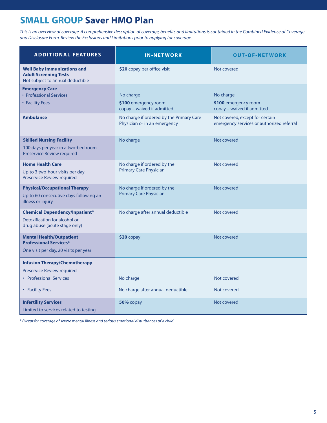#### **SMALL GROUP Saver HMO Plan**

*This is an overview of coverage. A comprehensive description of coverage, benefits and limitations is contained in the Combined Evidence of Coverage and Disclosure Form. Review the Exclusions and Limitations prior to applying for coverage.*

| <b>ADDITIONAL FEATURES</b>                                                                                | <b>IN-NETWORK</b>                                                                                           | <b>OUT-OF-NETWORK</b>                                                                              |
|-----------------------------------------------------------------------------------------------------------|-------------------------------------------------------------------------------------------------------------|----------------------------------------------------------------------------------------------------|
| <b>Well Baby Immunizations and</b><br><b>Adult Screening Tests</b><br>Not subject to annual deductible    | \$20 copay per office visit                                                                                 | Not covered                                                                                        |
| <b>Emergency Care</b><br>• Professional Services<br>• Facility Fees<br><b>Ambulance</b>                   | No charge<br>\$100 emergency room<br>copay - waived if admitted<br>No charge if ordered by the Primary Care | No charge<br>\$100 emergency room<br>copay - waived if admitted<br>Not covered, except for certain |
| <b>Skilled Nursing Facility</b>                                                                           | Physician or in an emergency<br>No charge                                                                   | emergency services or authorized referral<br>Not covered                                           |
| 100 days per year in a two-bed room<br><b>Preservice Review required</b>                                  |                                                                                                             |                                                                                                    |
| <b>Home Health Care</b><br>Up to 3 two-hour visits per day<br>Preservice Review required                  | No charge if ordered by the<br><b>Primary Care Physician</b>                                                | Not covered                                                                                        |
| <b>Physical/Occupational Therapy</b><br>Up to 60 consecutive days following an<br>illness or injury       | No charge if ordered by the<br><b>Primary Care Physician</b>                                                | Not covered                                                                                        |
| <b>Chemical Dependency/Inpatient*</b><br>Detoxification for alcohol or<br>drug abuse (acute stage only)   | No charge after annual deductible                                                                           | Not covered                                                                                        |
| <b>Mental Health/Outpatient</b><br><b>Professional Services*</b><br>One visit per day, 20 visits per year | $$20$ copay                                                                                                 | Not covered                                                                                        |
| <b>Infusion Therapy/Chemotherapy</b><br><b>Preservice Review required</b>                                 |                                                                                                             |                                                                                                    |
| • Professional Services<br>• Facility Fees                                                                | No charge<br>No charge after annual deductible                                                              | Not covered<br>Not covered                                                                         |
| <b>Infertility Services</b><br>Limited to services related to testing                                     | 50% copay                                                                                                   | Not covered                                                                                        |

*\* Except for coverage of severe mental illness and serious emotional disturbances of a child.*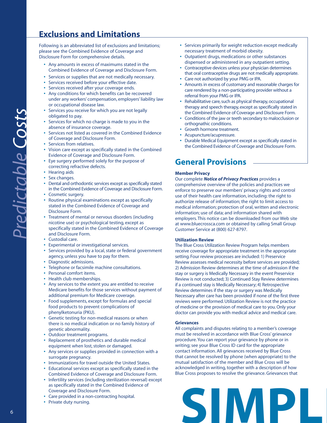#### **Exclusions and Limitations**

Following is an abbreviated list of exclusions and limitations; please see the Combined Evidence of Coverage and Disclosure Form for comprehensive details.

- **•** Any amounts in excess of maximums stated in the Combined Evidence of Coverage and Disclosure Form.
- **•** Services or supplies that are not medically necessary.
- **•** Services received before your effective date.
- **•** Services received after your coverage ends.
- **•** Any conditions for which benefits can be recovered under any workers' compensation, employers' liability law or occupational disease law.
- **•** Services you receive for which you are not legally obligated to pay.
- **•** Services for which no charge is made to you in the absence of insurance coverage.
- **•** Services not listed as covered in the Combined Evidence of Coverage and Disclosure Form.
- **•** Services from relatives.
- **•** Vision care except as specifically stated in the Combined Evidence of Coverage and Disclosure Form.
- **•** Eye surgery performed solely for the purpose of correcting refractive defects.
- **•** Hearing aids
- **•** Sex changes.
- **•** Dental and orthodontic services except as specifically stated in the Combined Evidence of Coverage and Disclosure Form.
- **•** Cosmetic surgery.
- **•** Routine physical examinations except as specifically stated in the Combined Evidence of Coverage and Disclosure Form.
- **•** Treatment of mental or nervous disorders (including nicotine use) or psychological testing, except as specifically stated in the Combined Evidence of Coverage and Disclosure Form.
- **•** Custodial care.
- **•** Experimental or investigational services.
- **•** Services provided by a local, state or federal government agency, unless you have to pay for them.
- **•** Diagnostic admissions.
- **•** Telephone or facsimile machine consultations.
- **•** Personal comfort items.
- **•** Health club memberships.
- **•** Any services to the extent you are entitled to receive Medicare benefits for those services without payment of additional premium for Medicare coverage.
- **•** Food supplements, except for formulas and special food products to prevent complications of phenylketonuria (PKU).
- **•** Genetic testing for non-medical reasons or when there is no medical indication or no family history of genetic abnormality.
- **•** Outdoor treatment programs.
- **•** Replacement of prosthetics and durable medical equipment when lost, stolen or damaged.
- **•** Any services or supplies provided in connection with a surrogate pregnancy.
- **•** Immunizations for travel outside the United States.
- **•** Educational services except as specifically stated in the Combined Evidence of Coverage and Disclosure Form.
- **•** Infertility services (including sterilization reversal) except as specifically stated in the Combined Evidence of Coverage and Disclosure Form.
- **•** Care provided in a non-contracting hospital.
- **•** Private duty nursing.
- **•** Services primarily for weight reduction except medically necessary treatment of morbid obesity.
- **•** Outpatient drugs, medications or other substances dispensed or administered in any outpatient setting.
- **•** Contraceptive devices unless your physician determines that oral contraceptive drugs are not medically appropriate.
- **•** Care not authorized by your PMG or IPA.
- **•** Amounts in excess of customary and reasonable charges for care rendered by a non-participating provider without a referral from your PMG or IPA.
- **•** Rehabilitative care, such as physical therapy, occupational therapy and speech therapy, except as specifically stated in the Combined Evidence of Coverage and Disclosure Form.
- **•** Conditions of the jaw or teeth secondary to malocclusion or orthognathic conditions.
- **•** Growth hormone treatment.
- **•** Acupuncture/acupressure.
- **•** Durable Medical Equipment except as specifically stated in the Combined Evidence of Coverage and Disclosure Form.

#### **General Provisions**

#### **Member Privacy**

Our complete *Notice of Privacy Practices* provides a comprehensive overview of the policies and practices we enforce to preserve our members' privacy rights and control use of their health care information, including: the right to authorize release of information; the right to limit access to medical information; protection of oral, written and electronic information; use of data; and information shared with employers. This notice can be downloaded from our Web site at www.bluecrossca.com or obtained by calling Small Group Customer Service at (800) 627-8797.

#### **Utilization Review**

The Blue Cross Utilization Review Program helps members receive coverage for appropriate treatment in the appropriate setting. Four review processes are included: 1) Preservice Review assesses medical necessity before services are provided; 2) Admission Review determines at the time of admission if the stay or surgery is Medically Necessary in the event Preservice Review is not conducted; 3) Continued Stay Review determines if a continued stay is Medically Necessary; 4) Retrospective Review determines if the stay or surgery was Medically Necessary after care has been provided if none of the first three reviews were performed. Utilization Review is not the practice of medicine or the provision of medical care to you. Only your doctor can provide you with medical advice and medical care.

#### **Grievances**

All complaints and disputes relating to a member's coverage must be resolved in accordance with Blue Cross' grievance procedure. You can report your grievance by phone or in writing; see your Blue Cross ID card for the appropriate contact information. All grievances received by Blue Cross that cannot be resolved by phone (when appropriate) to the mutual satisfaction of the member and Blue Cross will be acknowledged in writing, together with a description of how Blue Cross proposes to resolve the grievance. Grievances that

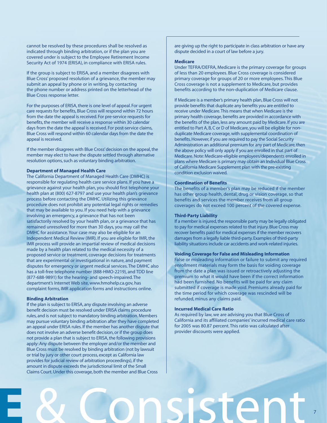cannot be resolved by these procedures shall be resolved as indicated through binding arbitration, or if the plan you are covered under is subject to the Employee Retirement Income Security Act of 1974 (ERISA), in compliance with ERISA rules.

If the group is subject to ERISA, and a member disagrees with Blue Cross' proposed resolution of a grievance, the member may submit an appeal by phone or in writing, by contacting the phone number or address printed on the letterhead of the Blue Cross response letter.

For the purposes of ERISA, there is one level of appeal. For urgent care requests for benefits, Blue Cross will respond within 72 hours from the date the appeal is received. For pre-service requests for benefits, the member will receive a response within 30 calendar days from the date the appeal is received. For post-service claims, Blue Cross will respond within 60 calendar days from the date the appeal is received.

If the member disagrees with Blue Cross' decision on the appeal, the member may elect to have the dispute settled through alternative resolution options, such as voluntary binding arbitration.

#### **Department of Managed Health Care**

The California Department of Managed Health Care (DMHC) is responsible for regulating health care service plans. If you have a grievance against your health plan, you should first telephone your health plan at (800) 627-8797 and use your health plan's grievance process before contacting the DMHC. Utilizing this grievance procedure does not prohibit any potential legal rights or remedies that may be available to you. If you need help with a grievance involving an emergency, a grievance that has not been satisfactorily resolved by your health plan, or a grievance that has remained unresolved for more than 30 days, you may call the DMHC for assistance.Your case may also be eligible for an Independent Medical Review (IMR). If you are eligible for IMR, the IMR process will provide an impartial review of medical decisions made by a health plan related to the medical necessity of a proposed service or treatment, coverage decisions for treatments that are experimental or investigational in nature, and payment disputes for emergency or urgent medical services. The DMHC also has a toll-free telephone number (888-HMO-2219), and TDD line (877-688-9891) for the hearing- and speech-impaired. The department's Internet Web site, www.hmohelp.ca.gov, has complaint forms, IMR application forms and instructions online.

#### **Binding Arbitration**

If the plan is subject to ERISA, any dispute involving an adverse benefit decision must be resolved under ERISA claims procedure rules, and is not subject to mandatory binding arbitration. Members may pursue voluntary binding arbitration after they have completed an appeal under ERISA rules. If the member has another dispute that does not involve an adverse benefit decision, or if the group does not provide a plan that is subject to ERISA, the following provisions apply: Any dispute between the employer and/or the member and Blue Cross must be resolved by binding arbitration (not by lawsuit or trial by jury or other court process, except as California law provides for judicial review of arbitration proceedings), if the amount in dispute exceeds the jurisdictional limit of the Small Claims Court. Under this coverage, both the member and Blue Cross

are giving up the right to participate in class arbitration or have any dispute decided in a court of law before a jury.

#### **Medicare**

Under TEFRA/DEFRA, Medicare is the primary coverage for groups of less than 20 employees. Blue Cross coverage is considered primary coverage for groups of 20 or more employees. This Blue Cross coverage is not a supplement to Medicare, but provides benefits according to the non-duplication of Medicare clause.

If Medicare is a member's primary health plan, Blue Cross will not provide benefits that duplicate any benefits you are entitled to receive under Medicare.This means that when Medicare is the primary health coverage, benefits are provided in accordance with the benefits of the plan, less any amount paid by Medicare. If you are entitled to Part A, B, C or D of Medicare, you will be eligible for nonduplicate Medicare coverage, with supplemental coordination of benefits. However, if you are required to pay the Social Security Administration an additional premium for any part of Medicare, then the above policy will only apply if you are enrolled in that part of Medicare. Note: Medicare-eligible employees/dependents enrolled in plans where Medicare is primary may obtain an Individual Blue Cross of California Medicare Supplement plan with the pre-existing condition exclusion waived.

#### **Coordination of Benefits**

The benefits of a member's plan may be reduced if the member has other group health, dental, drug or vision coverage, so that benefits and services the member receives from all group coverages do not exceed 100 percent of the covered expense.

#### **Third-Party Liability**

If a member is injured, the responsible party may be legally obligated to pay for medical expenses related to that injury. Blue Cross may recover benefits paid for medical expenses if the member recovers damages from a legally liable third-party.Examples of third-party liability situations include car accidents and work-related injuries.

#### **Voiding Coverage for False and Misleading Information**

False or misleading information or failure to submit any required enrollment materials may form the basis for voiding coverage from the date a plan was issued or retroactively adjusting the premium to what it would have been if the correct information had been furnished. No benefits will be paid for any claim submitted if coverage is made void. Premiums already paid for the time period for which coverage was rescinded will be refunded, minus any claims paid.

#### **Incurred Medical Care Ratio**

As required by law, we are advising you that Blue Cross of California and its affiliated companies' incurred medical care ratio for 2005 was 80.87 percent. This ratio was calculated after provider discounts were applied.

7

# **LE** & Consistent